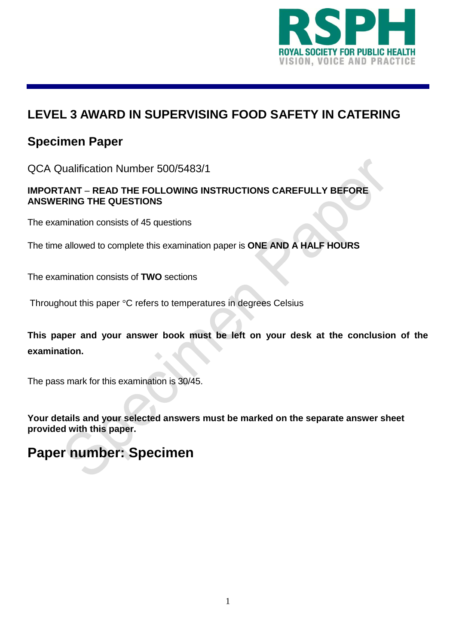

#### **LEVEL 3 AWARD IN SUPERVISING FOOD SAFETY IN CATERING**

# **Specimen Paper**

QCA Qualification Number 500/5483/1

#### **IMPORTANT** – **READ THE FOLLOWING INSTRUCTIONS CAREFULLY BEFORE ANSWERING THE QUESTIONS**

The examination consists of 45 questions

The time allowed to complete this examination paper is **ONE AND A HALF HOURS**

The examination consists of **TWO** sections

Throughout this paper °C refers to temperatures in degrees Celsius

**This paper and your answer book must be left on your desk at the conclusion of the examination.**

The pass mark for this examination is 30/45.

**Your details and your selected answers must be marked on the separate answer sheet provided with this paper.** 

# **Paper number: Specimen**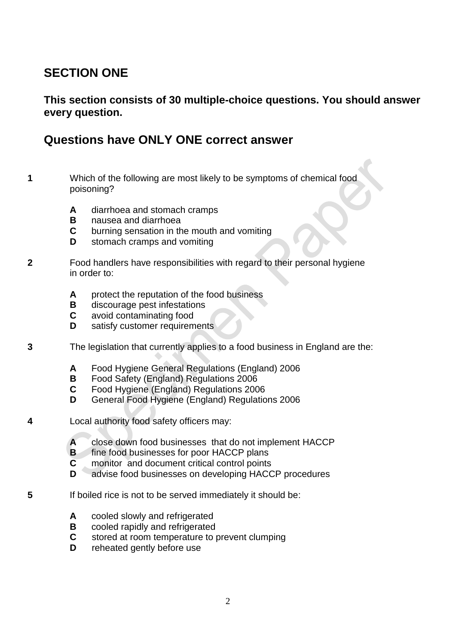## **SECTION ONE**

**This section consists of 30 multiple-choice questions. You should answer every question.** 

#### **Questions have ONLY ONE correct answer**

- **1** Which of the following are most likely to be symptoms of chemical food poisoning?
	- **A** diarrhoea and stomach cramps
	- **B** nausea and diarrhoea<br>**C** burning sensation in the
	- **C** burning sensation in the mouth and vomiting
	- **D** stomach cramps and vomiting
- **2** Food handlers have responsibilities with regard to their personal hygiene in order to:
	- **A** protect the reputation of the food business
	- **B** discourage pest infestations
	- **C** avoid contaminating food
	- **D** satisfy customer requirements
- **3** The legislation that currently applies to a food business in England are the:
	- **A** Food Hygiene General Regulations (England) 2006
	- **B** Food Safety (England) Regulations 2006
	- **C** Food Hygiene (England) Regulations 2006
	- **D** General Food Hygiene (England) Regulations 2006
- **4** Local authority food safety officers may:
	- **A** close down food businesses that do not implement HACCP
	- **B** fine food businesses for poor HACCP plans
	- **C** monitor and document critical control points
	- **D** advise food businesses on developing HACCP procedures
- **5** If boiled rice is not to be served immediately it should be:
	- A cooled slowly and refrigerated
	- **B** cooled rapidly and refrigerated
	- **C** stored at room temperature to prevent clumping
	- **D** reheated gently before use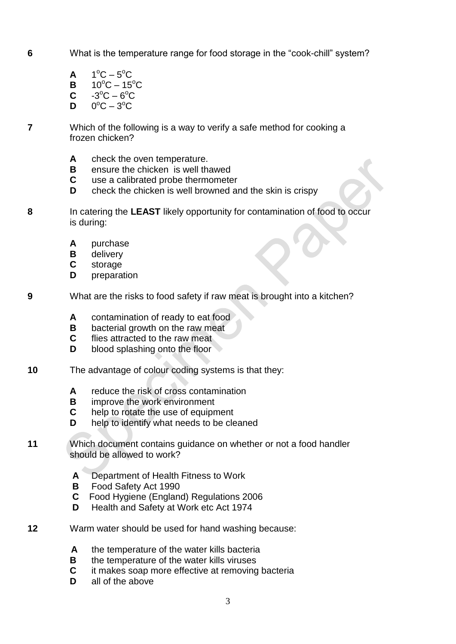**6** What is the temperature range for food storage in the "cook-chill" system?

**A** 1  $\mathrm{^{\circ}C} - 5\mathrm{^{\circ}C}$ 

- **B**  $10^{\circ}C 15^{\circ}C$
- $C \t -3^{\circ}C 6^{\circ}C$
- **D**  $\mathrm{^{\circ}C}-3\mathrm{^{\circ}C}$
- **7** Which of the following is a way to verify a safe method for cooking a frozen chicken?
	- **A** check the oven temperature.
	- **B** ensure the chicken is well thawed
	- **C** use a calibrated probe thermometer
	- **D** check the chicken is well browned and the skin is crispy
- **8** In catering the **LEAST** likely opportunity for contamination of food to occur is during:
	- **A** purchase
	- **B** delivery
	- **C** storage
	- **D** preparation
- **9** What are the risks to food safety if raw meat is brought into a kitchen?
	- **A** contamination of ready to eat food
	- **B** bacterial growth on the raw meat
	- **C** flies attracted to the raw meat
	- **D** blood splashing onto the floor
- **10** The advantage of colour coding systems is that they:
	- **A** reduce the risk of cross contamination
	- **B** improve the work environment
	- **C** help to rotate the use of equipment
	- **D** help to identify what needs to be cleaned
- **11** Which document contains guidance on whether or not a food handler should be allowed to work?
	- **A** Department of Health Fitness to Work
	- **B** Food Safety Act 1990
	- **C** Food Hygiene (England) Regulations 2006
	- **D** Health and Safety at Work etc Act 1974
- **12** Warm water should be used for hand washing because:
	- **A** the temperature of the water kills bacteria
	- **B** the temperature of the water kills viruses
	- **C** it makes soap more effective at removing bacteria
	- **D** all of the above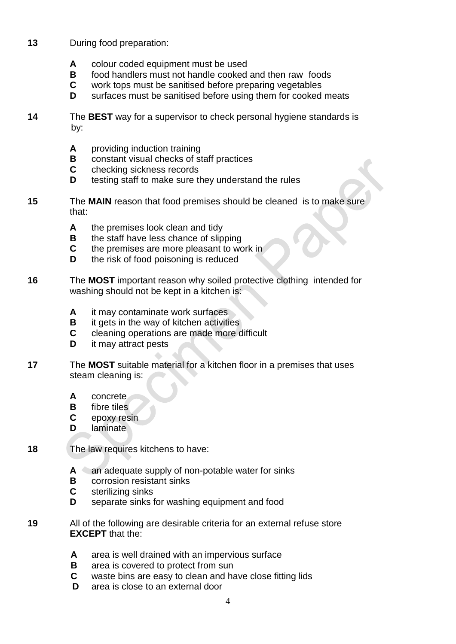- **13** During food preparation:
	- **A** colour coded equipment must be used
	- **B** food handlers must not handle cooked and then raw foods
	- **C** work tops must be sanitised before preparing vegetables
	- **D** surfaces must be sanitised before using them for cooked meats
- **14** The **BEST** way for a supervisor to check personal hygiene standards is by:
	- **A** providing induction training
	- **B** constant visual checks of staff practices
	- **C** checking sickness records
	- **D** testing staff to make sure they understand the rules
- **15** The **MAIN** reason that food premises should be cleaned is to make sure that:
	- **A** the premises look clean and tidy
	- **B** the staff have less chance of slipping
	- **C** the premises are more pleasant to work in
	- **D** the risk of food poisoning is reduced
- **16** The **MOST** important reason why soiled protective clothing intended for washing should not be kept in a kitchen is:
	- **A** it may contaminate work surfaces
	- **B** it gets in the way of kitchen activities
	- **C** cleaning operations are made more difficult
	- **D** it may attract pests
- **17** The **MOST** suitable material for a kitchen floor in a premises that uses steam cleaning is:
	- **A** concrete
	- **B** fibre tiles
	- **C** epoxy resin
	- **D** laminate
- **18** The law requires kitchens to have:
	- **A** an adequate supply of non-potable water for sinks
	- **B** corrosion resistant sinks
	- **C** sterilizing sinks
	- **D** separate sinks for washing equipment and food
- **19** All of the following are desirable criteria for an external refuse store **EXCEPT** that the:
	- **A** area is well drained with an impervious surface
	- **B** area is covered to protect from sun
	- **C** waste bins are easy to clean and have close fitting lids
	- **D** area is close to an external door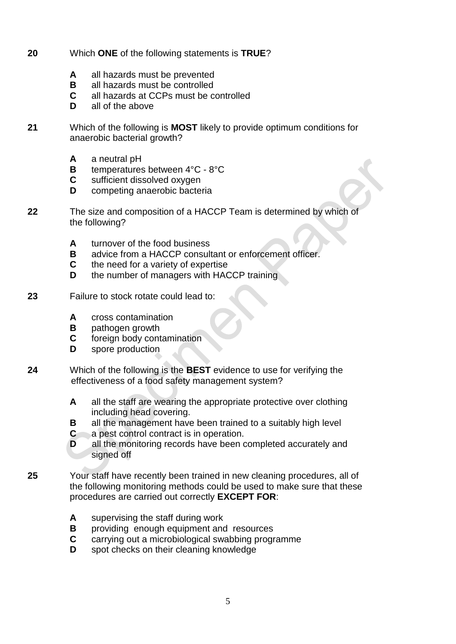- **20** Which **ONE** of the following statements is **TRUE**?
	- **A** all hazards must be prevented
	- **B** all hazards must be controlled
	- **C** all hazards at CCPs must be controlled
	- **D** all of the above
- **21** Which of the following is **MOST** likely to provide optimum conditions for anaerobic bacterial growth?
	- **A** a neutral pH
	- **B** temperatures between 4°C 8°C
	- **C** sufficient dissolved oxygen
	- **D** competing anaerobic bacteria
- **22** The size and composition of a HACCP Team is determined by which of the following?
	- **A** turnover of the food business
	- **B** advice from a HACCP consultant or enforcement officer.
	- **C** the need for a variety of expertise
	- **D** the number of managers with HACCP training
- **23** Failure to stock rotate could lead to:
	- **A** cross contamination
	- **B** pathogen growth
	- **C** foreign body contamination
	- **D** spore production
- **24** Which of the following is the **BEST** evidence to use for verifying the effectiveness of a food safety management system?
	- **A** all the staff are wearing the appropriate protective over clothing including head covering.
	- **B** all the management have been trained to a suitably high level
	- **C** a pest control contract is in operation.
	- **D** all the monitoring records have been completed accurately and signed off
- **25** Your staff have recently been trained in new cleaning procedures, all of the following monitoring methods could be used to make sure that these procedures are carried out correctly **EXCEPT FOR**:
	- **A** supervising the staff during work
	- **B** providing enough equipment and resources
	- **C** carrying out a microbiological swabbing programme
	- **D** spot checks on their cleaning knowledge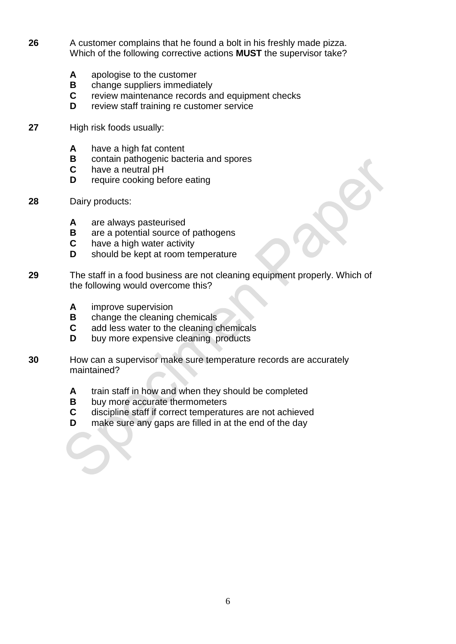- **26** A customer complains that he found a bolt in his freshly made pizza. Which of the following corrective actions **MUST** the supervisor take?
	- **A** apologise to the customer
	- **B** change suppliers immediately
	- **C** review maintenance records and equipment checks
	- **D** review staff training re customer service
- **27** High risk foods usually:
	- **A** have a high fat content
	- **B** contain pathogenic bacteria and spores
	- **C** have a neutral pH
	- **D** require cooking before eating
- **28** Dairy products:
	- **A** are always pasteurised
	- **B** are a potential source of pathogens
	- **C** have a high water activity
	- **D** should be kept at room temperature
- **29** The staff in a food business are not cleaning equipment properly. Which of the following would overcome this?
	- **A** improve supervision
	- **B** change the cleaning chemicals
	- **C** add less water to the cleaning chemicals
	- **D** buy more expensive cleaning products
- **30** How can a supervisor make sure temperature records are accurately maintained?
	- **A** train staff in how and when they should be completed
	- **B** buy more accurate thermometers
	- **C** discipline staff if correct temperatures are not achieved
	- **D** make sure any gaps are filled in at the end of the day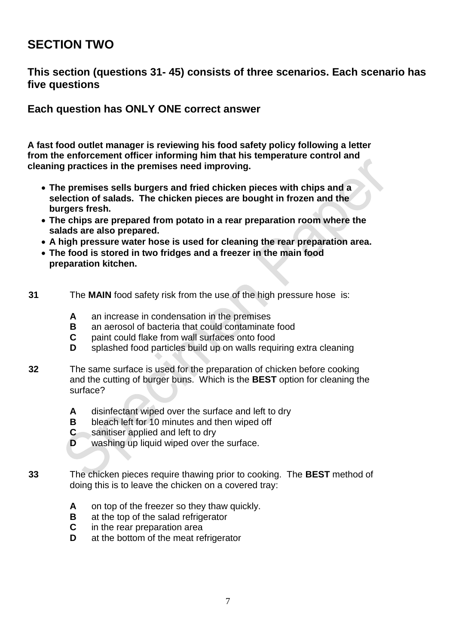## **SECTION TWO**

#### **This section (questions 31- 45) consists of three scenarios. Each scenario has five questions**

**Each question has ONLY ONE correct answer**

**A fast food outlet manager is reviewing his food safety policy following a letter from the enforcement officer informing him that his temperature control and cleaning practices in the premises need improving.** 

- **The premises sells burgers and fried chicken pieces with chips and a selection of salads. The chicken pieces are bought in frozen and the burgers fresh.**
- **The chips are prepared from potato in a rear preparation room where the salads are also prepared.**
- **A high pressure water hose is used for cleaning the rear preparation area.**
- **The food is stored in two fridges and a freezer in the main food preparation kitchen.**
- **31** The **MAIN** food safety risk from the use of the high pressure hose is:
	- **A** an increase in condensation in the premises
	- **B** an aerosol of bacteria that could contaminate food
	- **C** paint could flake from wall surfaces onto food
	- **D** splashed food particles build up on walls requiring extra cleaning
- **32** The same surface is used for the preparation of chicken before cooking and the cutting of burger buns. Which is the **BEST** option for cleaning the surface?
	- **A** disinfectant wiped over the surface and left to dry
	- **B** bleach left for 10 minutes and then wiped off
	- **C** sanitiser applied and left to dry
	- **D** washing up liquid wiped over the surface.
- **33** The chicken pieces require thawing prior to cooking. The **BEST** method of doing this is to leave the chicken on a covered tray:
	- **A** on top of the freezer so they thaw quickly.
	- **B** at the top of the salad refrigerator
	- **C** in the rear preparation area
	- **D** at the bottom of the meat refrigerator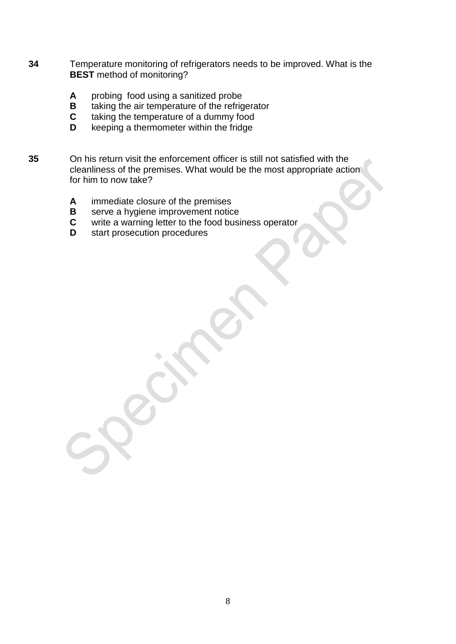- **34** Temperature monitoring of refrigerators needs to be improved. What is the **BEST** method of monitoring?
	- **A** probing food using a sanitized probe
	- **B** taking the air temperature of the refrigerator<br>**C** taking the temperature of a dummy food
	- taking the temperature of a dummy food
	- **D** keeping a thermometer within the fridge
- **35** On his return visit the enforcement officer is still not satisfied with the cleanliness of the premises. What would be the most appropriate action for him to now take?
	- **A** immediate closure of the premises
	- **B** serve a hygiene improvement notice<br>**C** write a warning letter to the food busi
	- write a warning letter to the food business operator
	- **D** start prosecution procedures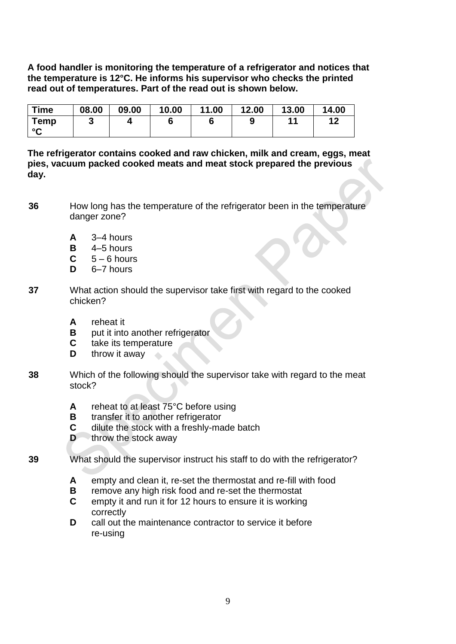**A food handler is monitoring the temperature of a refrigerator and notices that the temperature is 12°C. He informs his supervisor who checks the printed read out of temperatures. Part of the read out is shown below.**

| <b>Time</b>                | 08.00 | 09.00 | 10.00 | 11.00 | 12.00 | 13.00 | 14.00 |
|----------------------------|-------|-------|-------|-------|-------|-------|-------|
| <b>Temp</b><br>$\sim$<br>ີ | J     |       |       |       |       |       | 12    |

**The refrigerator contains cooked and raw chicken, milk and cream, eggs, meat pies, vacuum packed cooked meats and meat stock prepared the previous day.**

- **36** How long has the temperature of the refrigerator been in the temperature danger zone?
	- **A** 3–4 hours
	- $B = 4-5$  hours
	- $C = 5 6$  hours
	- **D** 6–7 hours
- **37** What action should the supervisor take first with regard to the cooked chicken?
	- **A** reheat it
	- **B** put it into another refrigerator
	- **C** take its temperature
	- **D** throw it away
- **38** Which of the following should the supervisor take with regard to the meat stock?
	- **A** reheat to at least 75°C before using
	- **B** transfer it to another refrigerator
	- **C** dilute the stock with a freshly-made batch
	- **D** throw the stock away
- **39** What should the supervisor instruct his staff to do with the refrigerator?
	- **A** empty and clean it, re-set the thermostat and re-fill with food
	- **B** remove any high risk food and re-set the thermostat
	- **C** empty it and run it for 12 hours to ensure it is working correctly
	- **D** call out the maintenance contractor to service it before re-using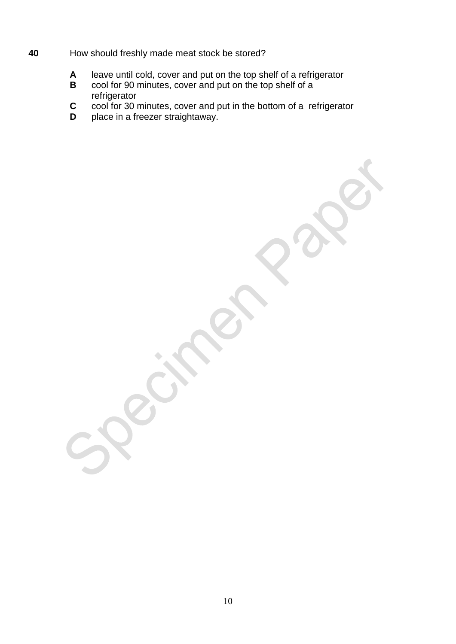- **40** How should freshly made meat stock be stored?
	- **A** leave until cold, cover and put on the top shelf of a refrigerator
	- **B** cool for 90 minutes, cover and put on the top shelf of a refrigerator
	- **C** cool for 30 minutes, cover and put in the bottom of a refrigerator
	- **D** place in a freezer straightaway.